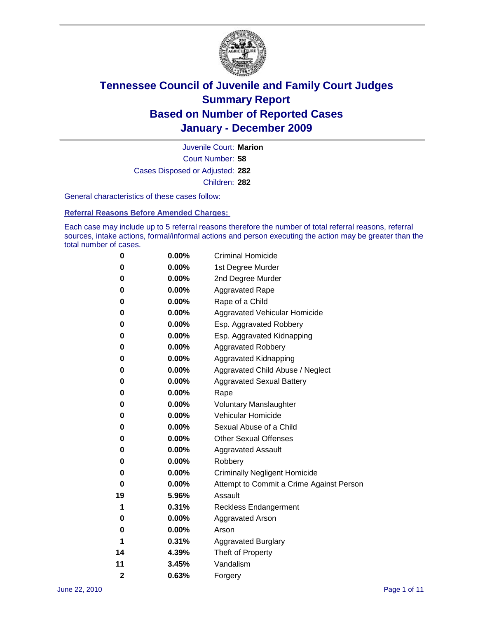

Court Number: **58** Juvenile Court: **Marion** Cases Disposed or Adjusted: **282** Children: **282**

General characteristics of these cases follow:

**Referral Reasons Before Amended Charges:** 

Each case may include up to 5 referral reasons therefore the number of total referral reasons, referral sources, intake actions, formal/informal actions and person executing the action may be greater than the total number of cases.

| 0              | 0.00%    | <b>Criminal Homicide</b>                 |
|----------------|----------|------------------------------------------|
| 0              | 0.00%    | 1st Degree Murder                        |
| 0              | 0.00%    | 2nd Degree Murder                        |
| 0              | 0.00%    | <b>Aggravated Rape</b>                   |
| 0              | 0.00%    | Rape of a Child                          |
| 0              | 0.00%    | Aggravated Vehicular Homicide            |
| 0              | 0.00%    | Esp. Aggravated Robbery                  |
| 0              | 0.00%    | Esp. Aggravated Kidnapping               |
| 0              | 0.00%    | <b>Aggravated Robbery</b>                |
| 0              | 0.00%    | Aggravated Kidnapping                    |
| 0              | 0.00%    | Aggravated Child Abuse / Neglect         |
| 0              | $0.00\%$ | <b>Aggravated Sexual Battery</b>         |
| 0              | 0.00%    | Rape                                     |
| 0              | 0.00%    | <b>Voluntary Manslaughter</b>            |
| 0              | 0.00%    | Vehicular Homicide                       |
| 0              | 0.00%    | Sexual Abuse of a Child                  |
| 0              | 0.00%    | <b>Other Sexual Offenses</b>             |
| 0              | 0.00%    | <b>Aggravated Assault</b>                |
| 0              | $0.00\%$ | Robbery                                  |
| 0              | 0.00%    | <b>Criminally Negligent Homicide</b>     |
| 0              | 0.00%    | Attempt to Commit a Crime Against Person |
| 19             | 5.96%    | Assault                                  |
| 1              | 0.31%    | <b>Reckless Endangerment</b>             |
| 0              | 0.00%    | <b>Aggravated Arson</b>                  |
| 0              | 0.00%    | Arson                                    |
| 1              | 0.31%    | <b>Aggravated Burglary</b>               |
| 14             | 4.39%    | Theft of Property                        |
| 11             | 3.45%    | Vandalism                                |
| $\overline{2}$ | 0.63%    | Forgery                                  |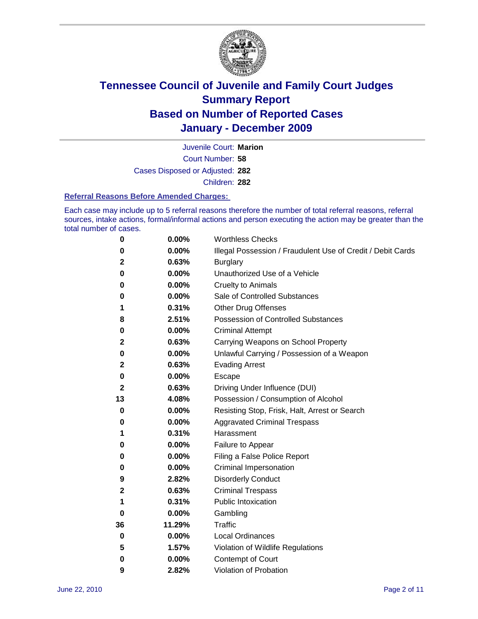

Court Number: **58** Juvenile Court: **Marion** Cases Disposed or Adjusted: **282** Children: **282**

#### **Referral Reasons Before Amended Charges:**

Each case may include up to 5 referral reasons therefore the number of total referral reasons, referral sources, intake actions, formal/informal actions and person executing the action may be greater than the total number of cases.

| 0  | 0.00%  | <b>Worthless Checks</b>                                     |
|----|--------|-------------------------------------------------------------|
| 0  | 0.00%  | Illegal Possession / Fraudulent Use of Credit / Debit Cards |
| 2  | 0.63%  | <b>Burglary</b>                                             |
| 0  | 0.00%  | Unauthorized Use of a Vehicle                               |
| 0  | 0.00%  | <b>Cruelty to Animals</b>                                   |
| 0  | 0.00%  | Sale of Controlled Substances                               |
| 1  | 0.31%  | <b>Other Drug Offenses</b>                                  |
| 8  | 2.51%  | Possession of Controlled Substances                         |
| 0  | 0.00%  | <b>Criminal Attempt</b>                                     |
| 2  | 0.63%  | Carrying Weapons on School Property                         |
| 0  | 0.00%  | Unlawful Carrying / Possession of a Weapon                  |
| 2  | 0.63%  | <b>Evading Arrest</b>                                       |
| 0  | 0.00%  | Escape                                                      |
| 2  | 0.63%  | Driving Under Influence (DUI)                               |
| 13 | 4.08%  | Possession / Consumption of Alcohol                         |
| 0  | 0.00%  | Resisting Stop, Frisk, Halt, Arrest or Search               |
| 0  | 0.00%  | <b>Aggravated Criminal Trespass</b>                         |
| 1  | 0.31%  | Harassment                                                  |
| 0  | 0.00%  | Failure to Appear                                           |
| 0  | 0.00%  | Filing a False Police Report                                |
| 0  | 0.00%  | Criminal Impersonation                                      |
| 9  | 2.82%  | <b>Disorderly Conduct</b>                                   |
| 2  | 0.63%  | <b>Criminal Trespass</b>                                    |
| 1  | 0.31%  | <b>Public Intoxication</b>                                  |
| 0  | 0.00%  | Gambling                                                    |
| 36 | 11.29% | <b>Traffic</b>                                              |
| 0  | 0.00%  | <b>Local Ordinances</b>                                     |
| 5  | 1.57%  | Violation of Wildlife Regulations                           |
| 0  | 0.00%  | Contempt of Court                                           |
| 9  | 2.82%  | Violation of Probation                                      |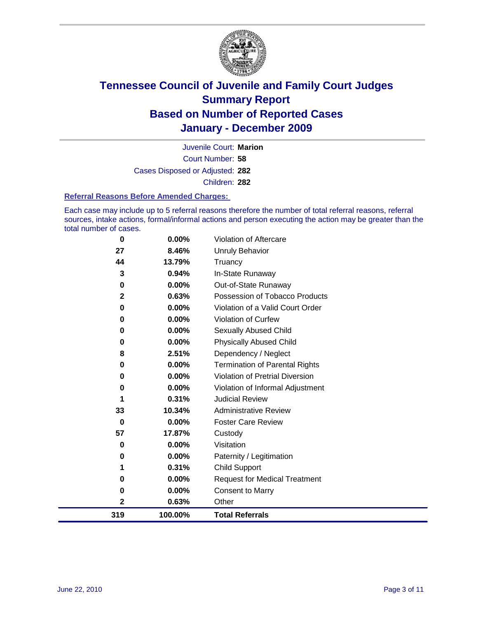

Court Number: **58** Juvenile Court: **Marion** Cases Disposed or Adjusted: **282** Children: **282**

#### **Referral Reasons Before Amended Charges:**

Each case may include up to 5 referral reasons therefore the number of total referral reasons, referral sources, intake actions, formal/informal actions and person executing the action may be greater than the total number of cases.

| 319      | 100.00%  | <b>Total Referrals</b>                 |
|----------|----------|----------------------------------------|
| 2        | 0.63%    | Other                                  |
| 0        | 0.00%    | <b>Consent to Marry</b>                |
| 0        | 0.00%    | <b>Request for Medical Treatment</b>   |
| 1        | 0.31%    | <b>Child Support</b>                   |
| 0        | 0.00%    | Paternity / Legitimation               |
| 0        | 0.00%    | Visitation                             |
| 57       | 17.87%   | Custody                                |
| 0        | $0.00\%$ | <b>Foster Care Review</b>              |
| 33       | 10.34%   | <b>Administrative Review</b>           |
| 1        | 0.31%    | <b>Judicial Review</b>                 |
| 0        | 0.00%    | Violation of Informal Adjustment       |
| 0        | 0.00%    | <b>Violation of Pretrial Diversion</b> |
| 0        | 0.00%    | <b>Termination of Parental Rights</b>  |
| 8        | 2.51%    | Dependency / Neglect                   |
| $\bf{0}$ | 0.00%    | <b>Physically Abused Child</b>         |
| 0        | 0.00%    | Sexually Abused Child                  |
| 0        | 0.00%    | <b>Violation of Curfew</b>             |
| $\bf{0}$ | 0.00%    | Violation of a Valid Court Order       |
| 2        | 0.63%    | Possession of Tobacco Products         |
| 0        | 0.00%    | Out-of-State Runaway                   |
| 3        | 0.94%    | In-State Runaway                       |
| 44       | 13.79%   | Unruly Behavior<br>Truancy             |
| 27       | 8.46%    |                                        |
| 0        | 0.00%    | Violation of Aftercare                 |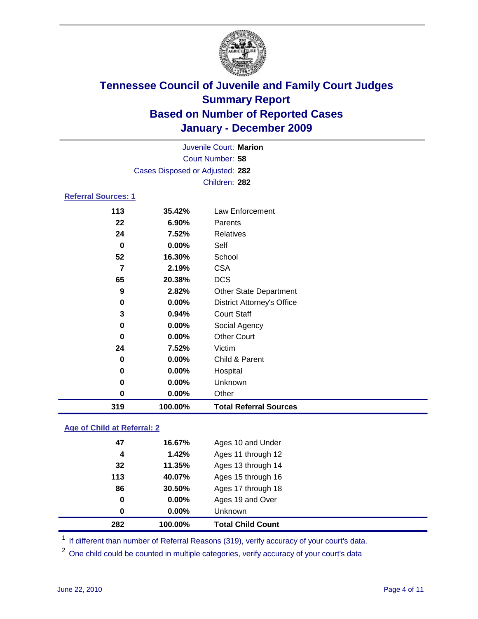

| Juvenile Court: Marion          |         |                                   |  |
|---------------------------------|---------|-----------------------------------|--|
| Court Number: 58                |         |                                   |  |
| Cases Disposed or Adjusted: 282 |         |                                   |  |
|                                 |         | Children: 282                     |  |
| <b>Referral Sources: 1</b>      |         |                                   |  |
| 113                             | 35.42%  | Law Enforcement                   |  |
| 22                              | 6.90%   | Parents                           |  |
| 24                              | 7.52%   | <b>Relatives</b>                  |  |
| $\bf{0}$                        | 0.00%   | Self                              |  |
| 52                              | 16.30%  | School                            |  |
| $\overline{7}$                  | 2.19%   | <b>CSA</b>                        |  |
| 65                              | 20.38%  | <b>DCS</b>                        |  |
| 9                               | 2.82%   | <b>Other State Department</b>     |  |
| 0                               | 0.00%   | <b>District Attorney's Office</b> |  |
| 3                               | 0.94%   | <b>Court Staff</b>                |  |
| $\mathbf 0$                     | 0.00%   | Social Agency                     |  |
| 0                               | 0.00%   | <b>Other Court</b>                |  |
| 24                              | 7.52%   | Victim                            |  |
| 0                               | 0.00%   | Child & Parent                    |  |
| $\mathbf 0$                     | 0.00%   | Hospital                          |  |
| 0                               | 0.00%   | Unknown                           |  |
| 0                               | 0.00%   | Other                             |  |
| 319                             | 100.00% | <b>Total Referral Sources</b>     |  |
|                                 |         |                                   |  |

### **Age of Child at Referral: 2**

| 282      | 100.00% | <b>Total Child Count</b> |
|----------|---------|--------------------------|
| $\bf{0}$ | 0.00%   | <b>Unknown</b>           |
| 0        | 0.00%   | Ages 19 and Over         |
| 86       | 30.50%  | Ages 17 through 18       |
| 113      | 40.07%  | Ages 15 through 16       |
| 32       | 11.35%  | Ages 13 through 14       |
| 4        | 1.42%   | Ages 11 through 12       |
| 47       | 16.67%  | Ages 10 and Under        |
|          |         |                          |

<sup>1</sup> If different than number of Referral Reasons (319), verify accuracy of your court's data.

<sup>2</sup> One child could be counted in multiple categories, verify accuracy of your court's data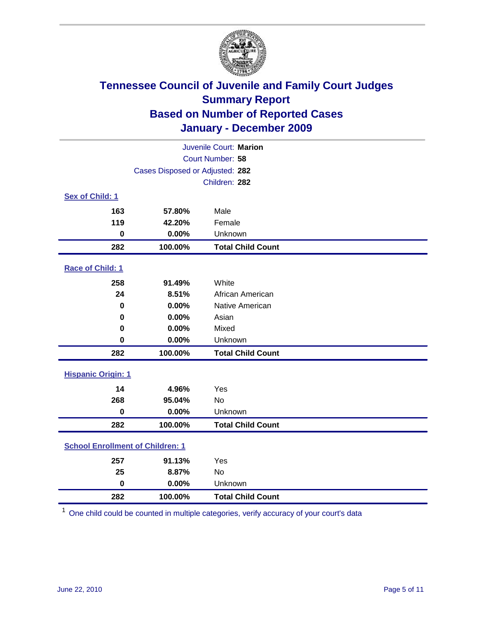

| Juvenile Court: Marion                     |                                 |                          |  |  |  |
|--------------------------------------------|---------------------------------|--------------------------|--|--|--|
|                                            | Court Number: 58                |                          |  |  |  |
|                                            | Cases Disposed or Adjusted: 282 |                          |  |  |  |
|                                            |                                 | Children: 282            |  |  |  |
| Sex of Child: 1                            |                                 |                          |  |  |  |
| 163                                        | 57.80%                          | Male                     |  |  |  |
| 119                                        | 42.20%                          | Female                   |  |  |  |
| $\mathbf 0$                                | 0.00%                           | Unknown                  |  |  |  |
| 282                                        | 100.00%                         | <b>Total Child Count</b> |  |  |  |
| Race of Child: 1                           |                                 |                          |  |  |  |
| 258                                        | 91.49%                          | White                    |  |  |  |
| 24                                         | 8.51%                           | African American         |  |  |  |
| $\mathbf 0$<br>0.00%                       |                                 | Native American          |  |  |  |
| 0.00%<br>0                                 |                                 | Asian                    |  |  |  |
| 0                                          | 0.00%                           | Mixed                    |  |  |  |
| $\mathbf 0$                                | 0.00%                           | Unknown                  |  |  |  |
| 282                                        | 100.00%                         | <b>Total Child Count</b> |  |  |  |
| <b>Hispanic Origin: 1</b>                  |                                 |                          |  |  |  |
| 14                                         | 4.96%                           | Yes                      |  |  |  |
| 268                                        | 95.04%                          | No                       |  |  |  |
| $\mathbf 0$                                | 0.00%                           | Unknown                  |  |  |  |
| 282                                        | 100.00%                         | <b>Total Child Count</b> |  |  |  |
| <b>School Enrollment of Children: 1</b>    |                                 |                          |  |  |  |
| 257                                        | 91.13%                          | Yes                      |  |  |  |
| 25                                         | 8.87%                           | No                       |  |  |  |
| $\mathbf 0$                                | 0.00%                           | Unknown                  |  |  |  |
| 282<br>100.00%<br><b>Total Child Count</b> |                                 |                          |  |  |  |

One child could be counted in multiple categories, verify accuracy of your court's data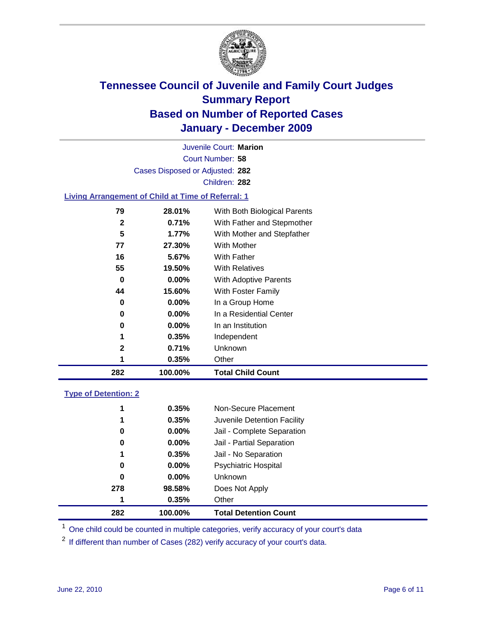

Court Number: **58** Juvenile Court: **Marion** Cases Disposed or Adjusted: **282** Children: **282**

### **Living Arrangement of Child at Time of Referral: 1**

| 282 | 100.00%  | <b>Total Child Count</b>     |
|-----|----------|------------------------------|
| 1   | 0.35%    | Other                        |
| 2   | 0.71%    | Unknown                      |
| 1   | 0.35%    | Independent                  |
| 0   | 0.00%    | In an Institution            |
| 0   | $0.00\%$ | In a Residential Center      |
| 0   | 0.00%    | In a Group Home              |
| 44  | 15.60%   | With Foster Family           |
| 0   | 0.00%    | With Adoptive Parents        |
| 55  | 19.50%   | <b>With Relatives</b>        |
| 16  | 5.67%    | With Father                  |
| 77  | 27.30%   | With Mother                  |
| 5   | $1.77\%$ | With Mother and Stepfather   |
| 2   | 0.71%    | With Father and Stepmother   |
| 79  | 28.01%   | With Both Biological Parents |
|     |          |                              |

#### **Type of Detention: 2**

| 282 | 100.00%       |                | <b>Total Detention Count</b> |
|-----|---------------|----------------|------------------------------|
|     | 1             | 0.35%<br>Other |                              |
| 278 | 98.58%        |                | Does Not Apply               |
|     | 0<br>$0.00\%$ |                | Unknown                      |
|     | 0             | $0.00\%$       | Psychiatric Hospital         |
|     | 1             | 0.35%          | Jail - No Separation         |
|     | 0             | $0.00\%$       | Jail - Partial Separation    |
|     | $0.00\%$<br>0 |                | Jail - Complete Separation   |
|     | 1             | 0.35%          | Juvenile Detention Facility  |
|     | 1             | 0.35%          | Non-Secure Placement         |
|     |               |                |                              |

<sup>1</sup> One child could be counted in multiple categories, verify accuracy of your court's data

<sup>2</sup> If different than number of Cases (282) verify accuracy of your court's data.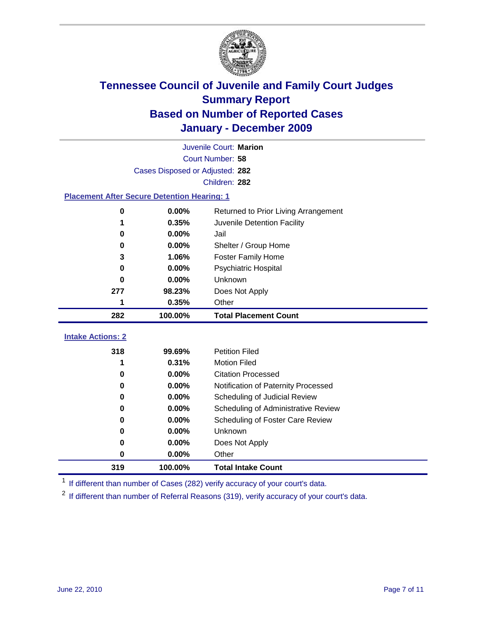

|                          | Juvenile Court: Marion                             |                                     |  |  |  |  |
|--------------------------|----------------------------------------------------|-------------------------------------|--|--|--|--|
|                          | Court Number: 58                                   |                                     |  |  |  |  |
|                          | Cases Disposed or Adjusted: 282                    |                                     |  |  |  |  |
|                          |                                                    | Children: 282                       |  |  |  |  |
|                          | <b>Placement After Secure Detention Hearing: 1</b> |                                     |  |  |  |  |
| 0                        | 0.00%<br>Returned to Prior Living Arrangement      |                                     |  |  |  |  |
| 1                        | 0.35%                                              | Juvenile Detention Facility         |  |  |  |  |
| 0                        | 0.00%                                              | Jail                                |  |  |  |  |
| $\bf{0}$                 | $0.00\%$                                           | Shelter / Group Home                |  |  |  |  |
| 3                        | 1.06%                                              | <b>Foster Family Home</b>           |  |  |  |  |
| 0                        | 0.00%                                              | Psychiatric Hospital                |  |  |  |  |
| 0                        | 0.00%                                              | Unknown                             |  |  |  |  |
| 277<br>98.23%            |                                                    | Does Not Apply                      |  |  |  |  |
| 0.35%<br>1<br>Other      |                                                    |                                     |  |  |  |  |
| 282                      | 100.00%                                            | <b>Total Placement Count</b>        |  |  |  |  |
|                          |                                                    |                                     |  |  |  |  |
| <b>Intake Actions: 2</b> |                                                    |                                     |  |  |  |  |
| 318                      | 99.69%                                             | <b>Petition Filed</b>               |  |  |  |  |
| 1                        | 0.31%                                              | <b>Motion Filed</b>                 |  |  |  |  |
| $\bf{0}$                 | 0.00%                                              | <b>Citation Processed</b>           |  |  |  |  |
| 0                        | 0.00%                                              | Notification of Paternity Processed |  |  |  |  |
| $\mathbf 0$              | 0.00%                                              | Scheduling of Judicial Review       |  |  |  |  |
| $\bf{0}$                 | 0.00%                                              | Scheduling of Administrative Review |  |  |  |  |
| 0                        | 0.00%                                              | Scheduling of Foster Care Review    |  |  |  |  |
| 0                        | 0.00%                                              | Unknown                             |  |  |  |  |
| 0                        | 0.00%                                              | Does Not Apply                      |  |  |  |  |
| 0                        | 0.00%                                              | Other                               |  |  |  |  |
| 319                      | 100.00%                                            | <b>Total Intake Count</b>           |  |  |  |  |

<sup>1</sup> If different than number of Cases (282) verify accuracy of your court's data.

<sup>2</sup> If different than number of Referral Reasons (319), verify accuracy of your court's data.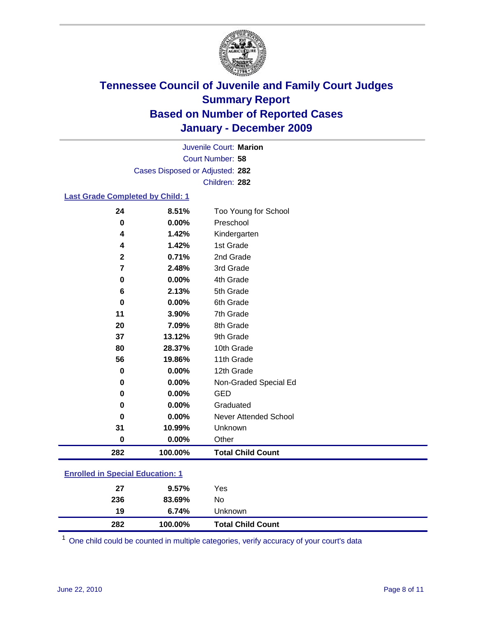

Court Number: **58** Juvenile Court: **Marion** Cases Disposed or Adjusted: **282** Children: **282**

### **Last Grade Completed by Child: 1**

| 282          | 100.00%  | <b>Total Child Count</b>     |
|--------------|----------|------------------------------|
| $\bf{0}$     | $0.00\%$ | Other                        |
| 31           | 10.99%   | Unknown                      |
| 0            | 0.00%    | <b>Never Attended School</b> |
| $\bf{0}$     | 0.00%    | Graduated                    |
| 0            | 0.00%    | <b>GED</b>                   |
| 0            | 0.00%    | Non-Graded Special Ed        |
| $\bf{0}$     | 0.00%    | 12th Grade                   |
| 56           | 19.86%   | 11th Grade                   |
| 80           | 28.37%   | 10th Grade                   |
| 37           | 13.12%   | 9th Grade                    |
| 20           | 7.09%    | 8th Grade                    |
| 11           | 3.90%    | 7th Grade                    |
| 0            | 0.00%    | 6th Grade                    |
| 6            | 2.13%    | 5th Grade                    |
| 0            | 0.00%    | 4th Grade                    |
| 7            | 2.48%    | 3rd Grade                    |
| $\mathbf{2}$ | 0.71%    | 2nd Grade                    |
| 4            | 1.42%    | 1st Grade                    |
| 4            | 1.42%    | Kindergarten                 |
| $\mathbf 0$  | 0.00%    | Preschool                    |
| 24           | 8.51%    | Too Young for School         |

### **Enrolled in Special Education: 1**

| 282 | 100.00%  | <b>Total Child Count</b> |  |
|-----|----------|--------------------------|--|
| 19  | 6.74%    | Unknown                  |  |
| 236 | 83.69%   | No                       |  |
| 27  | $9.57\%$ | Yes                      |  |
|     |          |                          |  |

One child could be counted in multiple categories, verify accuracy of your court's data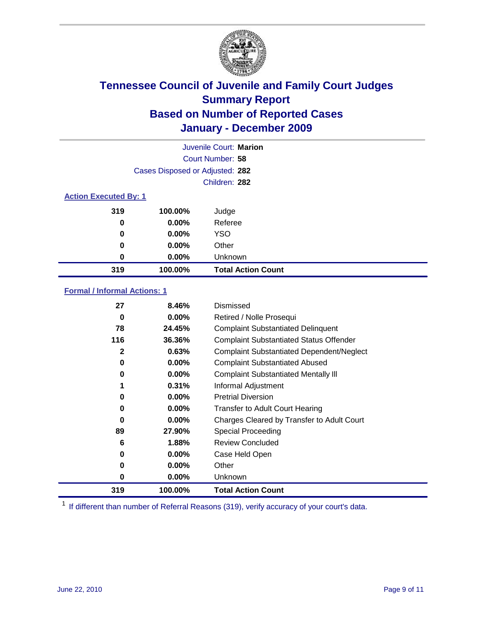

| Juvenile Court: Marion       |                                 |                           |  |  |
|------------------------------|---------------------------------|---------------------------|--|--|
|                              | Court Number: 58                |                           |  |  |
|                              | Cases Disposed or Adjusted: 282 |                           |  |  |
|                              |                                 | Children: 282             |  |  |
| <b>Action Executed By: 1</b> |                                 |                           |  |  |
| 319                          | 100.00%                         | Judge                     |  |  |
| 0                            | $0.00\%$                        | Referee                   |  |  |
| 0                            | $0.00\%$                        | <b>YSO</b>                |  |  |
| 0                            | 0.00%                           | Other                     |  |  |
| 0                            | 0.00%                           | Unknown                   |  |  |
| 319                          | 100.00%                         | <b>Total Action Count</b> |  |  |

### **Formal / Informal Actions: 1**

| 27  | 8.46%    | <b>Dismissed</b>                                 |
|-----|----------|--------------------------------------------------|
| 0   | $0.00\%$ | Retired / Nolle Prosequi                         |
| 78  | 24.45%   | <b>Complaint Substantiated Delinquent</b>        |
| 116 | 36.36%   | <b>Complaint Substantiated Status Offender</b>   |
| 2   | 0.63%    | <b>Complaint Substantiated Dependent/Neglect</b> |
| 0   | 0.00%    | <b>Complaint Substantiated Abused</b>            |
| 0   | $0.00\%$ | <b>Complaint Substantiated Mentally III</b>      |
| 1   | 0.31%    | Informal Adjustment                              |
| 0   | $0.00\%$ | <b>Pretrial Diversion</b>                        |
| 0   | $0.00\%$ | <b>Transfer to Adult Court Hearing</b>           |
| 0   | $0.00\%$ | Charges Cleared by Transfer to Adult Court       |
| 89  | 27.90%   | <b>Special Proceeding</b>                        |
| 6   | 1.88%    | <b>Review Concluded</b>                          |
| 0   | $0.00\%$ | Case Held Open                                   |
| 0   | $0.00\%$ | Other                                            |
| 0   | $0.00\%$ | <b>Unknown</b>                                   |
| 319 | 100.00%  | <b>Total Action Count</b>                        |

<sup>1</sup> If different than number of Referral Reasons (319), verify accuracy of your court's data.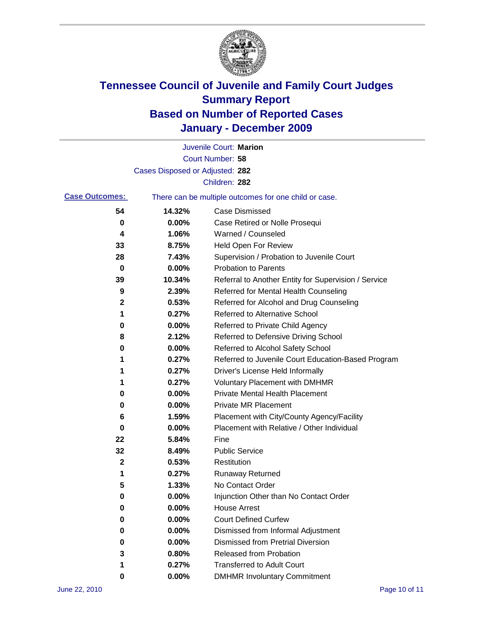

|                       |                                 | Juvenile Court: Marion                                |
|-----------------------|---------------------------------|-------------------------------------------------------|
|                       |                                 | <b>Court Number: 58</b>                               |
|                       | Cases Disposed or Adjusted: 282 |                                                       |
|                       |                                 | Children: 282                                         |
| <b>Case Outcomes:</b> |                                 | There can be multiple outcomes for one child or case. |
| 54                    | 14.32%                          | <b>Case Dismissed</b>                                 |
| 0                     | 0.00%                           | Case Retired or Nolle Prosequi                        |
| 4                     | 1.06%                           | Warned / Counseled                                    |
| 33                    | 8.75%                           | Held Open For Review                                  |
| 28                    | 7.43%                           | Supervision / Probation to Juvenile Court             |
| 0                     | 0.00%                           | <b>Probation to Parents</b>                           |
| 39                    | 10.34%                          | Referral to Another Entity for Supervision / Service  |
| 9                     | 2.39%                           | Referred for Mental Health Counseling                 |
| 2                     | 0.53%                           | Referred for Alcohol and Drug Counseling              |
| 1                     | 0.27%                           | <b>Referred to Alternative School</b>                 |
| 0                     | 0.00%                           | Referred to Private Child Agency                      |
| 8                     | 2.12%                           | Referred to Defensive Driving School                  |
| 0                     | 0.00%                           | Referred to Alcohol Safety School                     |
| 1                     | 0.27%                           | Referred to Juvenile Court Education-Based Program    |
| 1                     | 0.27%                           | Driver's License Held Informally                      |
| 1                     | 0.27%                           | <b>Voluntary Placement with DMHMR</b>                 |
| 0                     | 0.00%                           | <b>Private Mental Health Placement</b>                |
| 0                     | 0.00%                           | <b>Private MR Placement</b>                           |
| 6                     | 1.59%                           | Placement with City/County Agency/Facility            |
| 0                     | 0.00%                           | Placement with Relative / Other Individual            |
| 22                    | 5.84%                           | Fine                                                  |
| 32                    | 8.49%                           | <b>Public Service</b>                                 |
| 2                     | 0.53%                           | Restitution                                           |
| 1                     | 0.27%                           | <b>Runaway Returned</b>                               |
| 5                     | 1.33%                           | No Contact Order                                      |
| 0                     | 0.00%                           | Injunction Other than No Contact Order                |
| 0                     | 0.00%                           | <b>House Arrest</b>                                   |
| 0                     | $0.00\%$                        | <b>Court Defined Curfew</b>                           |
| 0                     | 0.00%                           | Dismissed from Informal Adjustment                    |
| 0                     | $0.00\%$                        | <b>Dismissed from Pretrial Diversion</b>              |
| 3                     | 0.80%                           | <b>Released from Probation</b>                        |
| 1                     | 0.27%                           | <b>Transferred to Adult Court</b>                     |
| 0                     | 0.00%                           | <b>DMHMR Involuntary Commitment</b>                   |